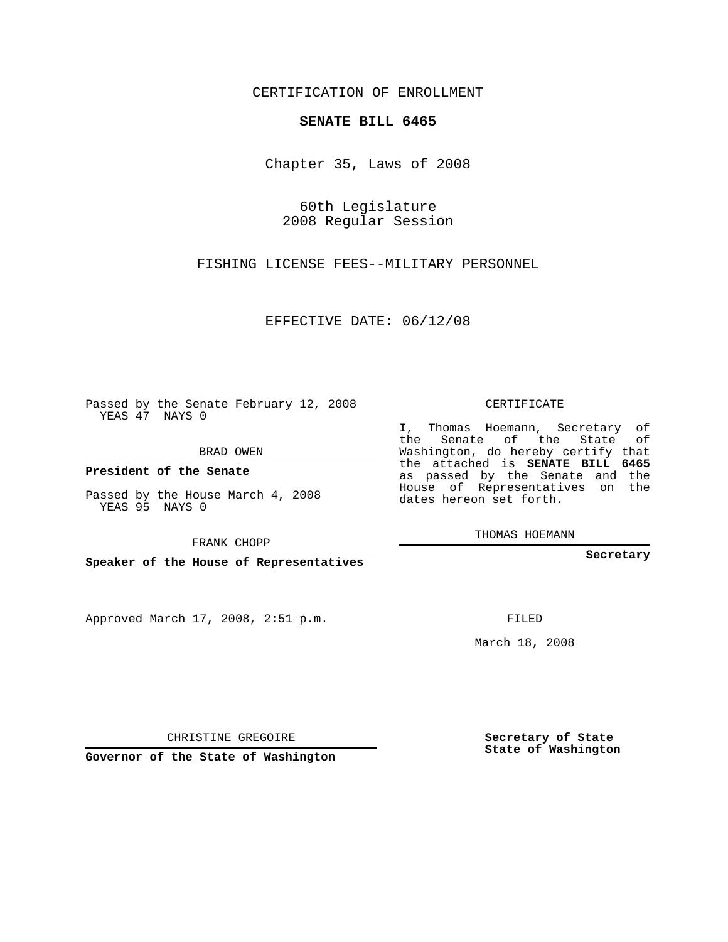CERTIFICATION OF ENROLLMENT

## **SENATE BILL 6465**

Chapter 35, Laws of 2008

60th Legislature 2008 Regular Session

FISHING LICENSE FEES--MILITARY PERSONNEL

EFFECTIVE DATE: 06/12/08

Passed by the Senate February 12, 2008 YEAS 47 NAYS 0

BRAD OWEN

**President of the Senate**

Passed by the House March 4, 2008 YEAS 95 NAYS 0

**Speaker of the House of Representatives**

Approved March 17, 2008, 2:51 p.m.

CERTIFICATE

I, Thomas Hoemann, Secretary of the Senate of the State of Washington, do hereby certify that the attached is **SENATE BILL 6465** as passed by the Senate and the House of Representatives on the dates hereon set forth.

THOMAS HOEMANN

**Secretary**

FILED

March 18, 2008

CHRISTINE GREGOIRE

**Secretary of State State of Washington**

**Governor of the State of Washington**

FRANK CHOPP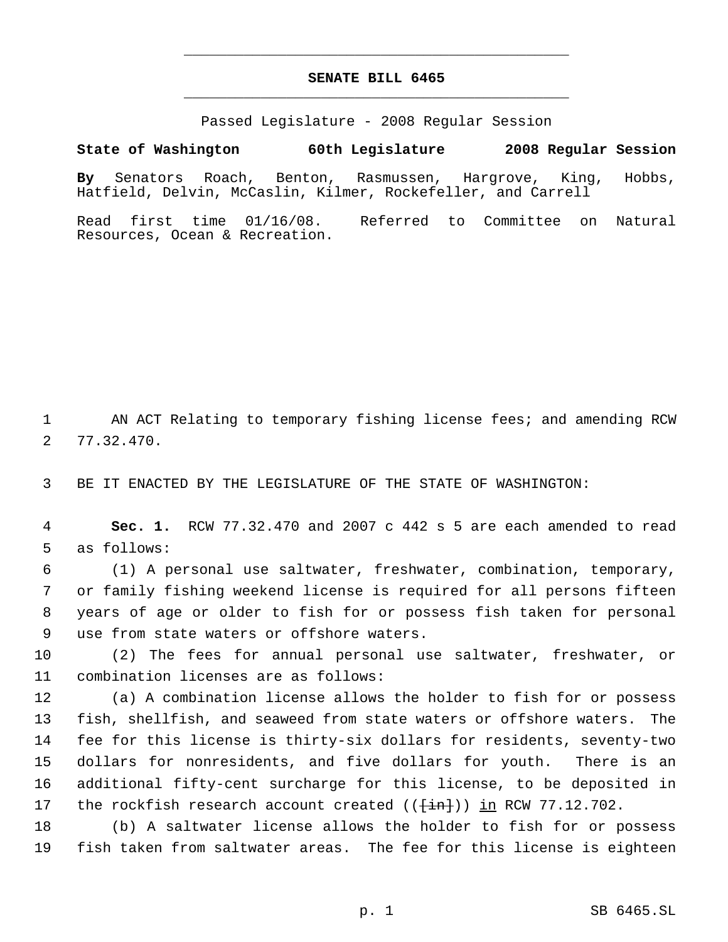## **SENATE BILL 6465** \_\_\_\_\_\_\_\_\_\_\_\_\_\_\_\_\_\_\_\_\_\_\_\_\_\_\_\_\_\_\_\_\_\_\_\_\_\_\_\_\_\_\_\_\_

\_\_\_\_\_\_\_\_\_\_\_\_\_\_\_\_\_\_\_\_\_\_\_\_\_\_\_\_\_\_\_\_\_\_\_\_\_\_\_\_\_\_\_\_\_

Passed Legislature - 2008 Regular Session

## **State of Washington 60th Legislature 2008 Regular Session**

**By** Senators Roach, Benton, Rasmussen, Hargrove, King, Hobbs, Hatfield, Delvin, McCaslin, Kilmer, Rockefeller, and Carrell

Read first time 01/16/08. Referred to Committee on Natural Resources, Ocean & Recreation.

 AN ACT Relating to temporary fishing license fees; and amending RCW 77.32.470.

BE IT ENACTED BY THE LEGISLATURE OF THE STATE OF WASHINGTON:

 **Sec. 1.** RCW 77.32.470 and 2007 c 442 s 5 are each amended to read as follows:

 (1) A personal use saltwater, freshwater, combination, temporary, or family fishing weekend license is required for all persons fifteen years of age or older to fish for or possess fish taken for personal use from state waters or offshore waters.

 (2) The fees for annual personal use saltwater, freshwater, or combination licenses are as follows:

 (a) A combination license allows the holder to fish for or possess fish, shellfish, and seaweed from state waters or offshore waters. The fee for this license is thirty-six dollars for residents, seventy-two dollars for nonresidents, and five dollars for youth. There is an additional fifty-cent surcharge for this license, to be deposited in 17 the rockfish research account created  $((\text{fin})$ ) in RCW 77.12.702.

 (b) A saltwater license allows the holder to fish for or possess fish taken from saltwater areas. The fee for this license is eighteen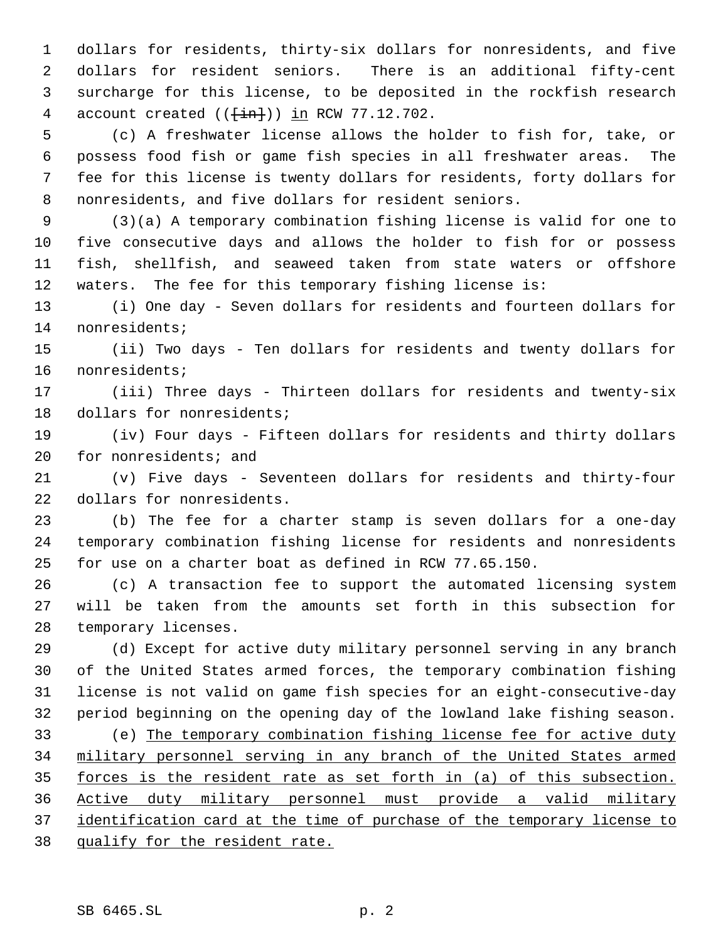dollars for residents, thirty-six dollars for nonresidents, and five dollars for resident seniors. There is an additional fifty-cent surcharge for this license, to be deposited in the rockfish research 4 account created  $((+in))$  in RCW 77.12.702.

 (c) A freshwater license allows the holder to fish for, take, or possess food fish or game fish species in all freshwater areas. The fee for this license is twenty dollars for residents, forty dollars for nonresidents, and five dollars for resident seniors.

 (3)(a) A temporary combination fishing license is valid for one to five consecutive days and allows the holder to fish for or possess fish, shellfish, and seaweed taken from state waters or offshore waters. The fee for this temporary fishing license is:

 (i) One day - Seven dollars for residents and fourteen dollars for nonresidents;

 (ii) Two days - Ten dollars for residents and twenty dollars for nonresidents;

 (iii) Three days - Thirteen dollars for residents and twenty-six dollars for nonresidents;

 (iv) Four days - Fifteen dollars for residents and thirty dollars for nonresidents; and

 (v) Five days - Seventeen dollars for residents and thirty-four dollars for nonresidents.

 (b) The fee for a charter stamp is seven dollars for a one-day temporary combination fishing license for residents and nonresidents for use on a charter boat as defined in RCW 77.65.150.

 (c) A transaction fee to support the automated licensing system will be taken from the amounts set forth in this subsection for temporary licenses.

 (d) Except for active duty military personnel serving in any branch of the United States armed forces, the temporary combination fishing license is not valid on game fish species for an eight-consecutive-day period beginning on the opening day of the lowland lake fishing season.

 (e) The temporary combination fishing license fee for active duty military personnel serving in any branch of the United States armed forces is the resident rate as set forth in (a) of this subsection. Active duty military personnel must provide a valid military 37 identification card at the time of purchase of the temporary license to qualify for the resident rate.